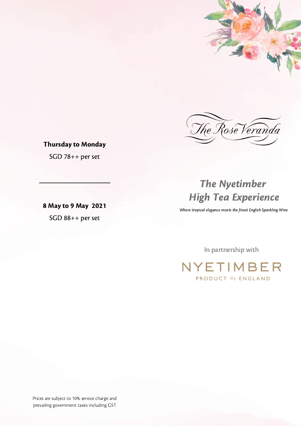



# Thursday to Monday

SGD 78++ per set

8 May to 9 May 2021 SGD 88++ per set

# The Nyetimber High Tea Experience

Where tropical elegance meets the finest English Sparkling Wine

In partnership with

NYETIMBER PRODUCT OF ENGLAND

Prices are subject to 10% service charge and prevailing government taxes including GST